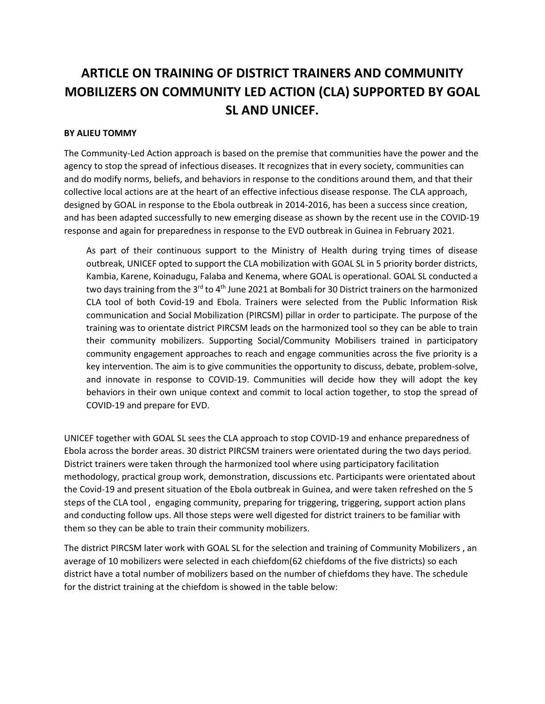## **ARTICLE ON TRAINING OF DISTRICT TRAINERS AND COMMUNITY MOBILIZERS ON COMMUNITY LED ACTION (CLA) SUPPORTED BY GOAL SL AND UNICEF.**

## **BY ALIEU TOMMY**

The Community-Led Action approach is based on the premise that communities have the power and the agency to stop the spread of infectious diseases. It recognizes that in every society, communities can and do modify norms, beliefs, and behaviors in response to the conditions around them, and that their collective local actions are at the heart of an effective infectious disease response. The CLA approach, designed by GOAL in response to the Ebola outbreak in 2014-2016, has been a success since creation, and has been adapted successfully to new emerging disease as shown by the recent use in the COVID-19 response and again for preparedness in response to the EVD outbreak in Guinea in February 2021.

As part of their continuous support to the Ministry of Health during trying times of disease outbreak, UNICEF opted to support the CLA mobilization with GOAL SL in 5 priority border districts, Kambia, Karene, Koinadugu, Falaba and Kenema, where GOAL is operational. GOAL SL conducted a two days training from the 3<sup>rd</sup> to 4<sup>th</sup> June 2021 at Bombali for 30 District trainers on the harmonized CLA tool of both Covid-19 and Ebola. Trainers were selected from the Public Information Risk communication and Social Mobilization (PIRCSM) pillar in order to participate. The purpose of the training was to orientate district PIRCSM leads on the harmonized tool so they can be able to train their community mobilizers. Supporting Social/Community Mobilisers trained in participatory community engagement approaches to reach and engage communities across the five priority is a key intervention. The aim is to give communities the opportunity to discuss, debate, problem-solve, and innovate in response to COVID-19. Communities will decide how they will adopt the key behaviors in their own unique context and commit to local action together, to stop the spread of COVID-19 and prepare for EVD.

UNICEF together with GOAL SL sees the CLA approach to stop COVID-19 and enhance preparedness of Ebola across the border areas. 30 district PIRCSM trainers were orientated during the two days period. District trainers were taken through the harmonized tool where using participatory facilitation methodology, practical group work, demonstration, discussions etc. Participants were orientated about the Covid-19 and present situation of the Ebola outbreak in Guinea, and were taken refreshed on the 5 steps of the CLA tool , engaging community, preparing for triggering, triggering, support action plans and conducting follow ups. All those steps were well digested for district trainers to be familiar with them so they can be able to train their community mobilizers.

The district PIRCSM later work with GOAL SL for the selection and training of Community Mobilizers , an average of 10 mobilizers were selected in each chiefdom(62 chiefdoms of the five districts) so each district have a total number of mobilizers based on the number of chiefdoms they have. The schedule for the district training at the chiefdom is showed in the table below: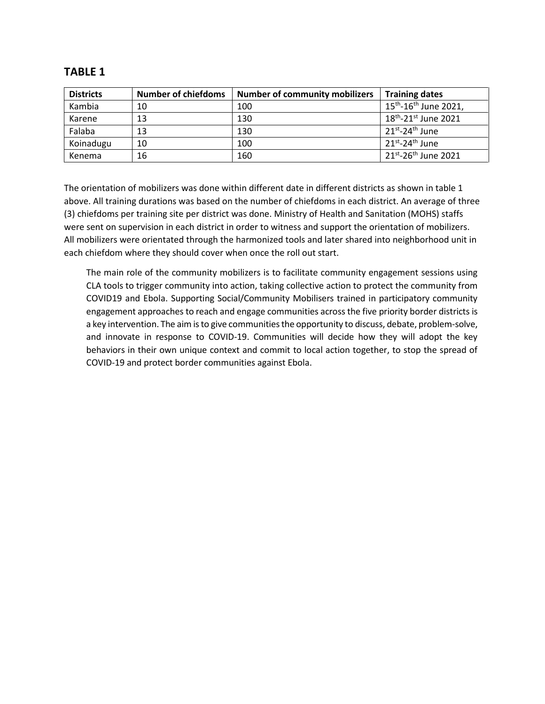| <b>Districts</b> | <b>Number of chiefdoms</b> | <b>Number of community mobilizers</b> | <b>Training dates</b>                         |
|------------------|----------------------------|---------------------------------------|-----------------------------------------------|
| Kambia           | 10                         | 100                                   | 15 <sup>th</sup> -16 <sup>th</sup> June 2021, |
| Karene           | 13                         | 130                                   | $18^{th}$ -21st June 2021                     |
| Falaba           | 13                         | 130                                   | $21^{st}$ -24 <sup>th</sup> June              |
| Koinadugu        | 10                         | 100                                   | $21^{st}$ -24 <sup>th</sup> June              |
| Kenema           | 16                         | 160                                   | $21^{st} - 26^{th}$ June 2021                 |

## **TABLE 1**

The orientation of mobilizers was done within different date in different districts as shown in table 1 above. All training durations was based on the number of chiefdoms in each district. An average of three (3) chiefdoms per training site per district was done. Ministry of Health and Sanitation (MOHS) staffs were sent on supervision in each district in order to witness and support the orientation of mobilizers. All mobilizers were orientated through the harmonized tools and later shared into neighborhood unit in each chiefdom where they should cover when once the roll out start.

The main role of the community mobilizers is to facilitate community engagement sessions using CLA tools to trigger community into action, taking collective action to protect the community from COVID19 and Ebola. Supporting Social/Community Mobilisers trained in participatory community engagement approaches to reach and engage communities across the five priority border districts is a key intervention. The aim is to give communities the opportunity to discuss, debate, problem-solve, and innovate in response to COVID-19. Communities will decide how they will adopt the key behaviors in their own unique context and commit to local action together, to stop the spread of COVID-19 and protect border communities against Ebola.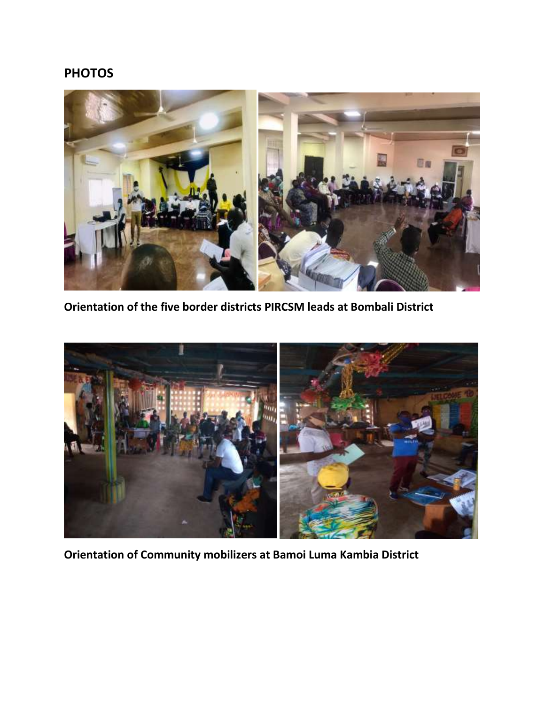## **PHOTOS**



**Orientation of the five border districts PIRCSM leads at Bombali District**



**Orientation of Community mobilizers at Bamoi Luma Kambia District**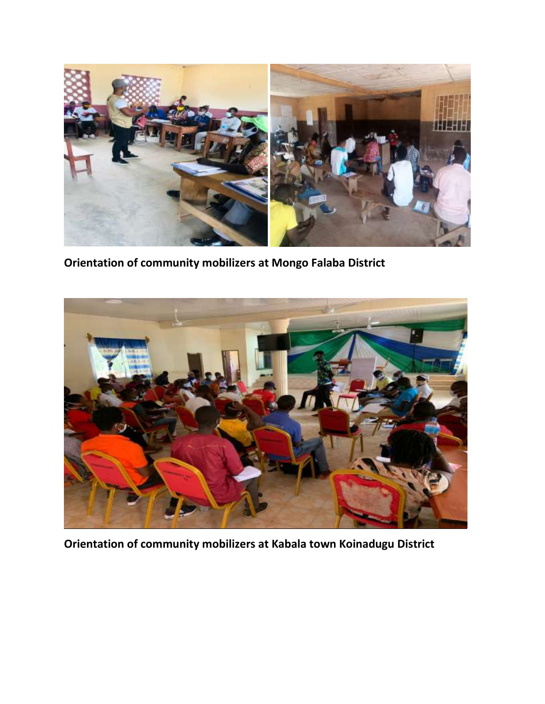

**Orientation of community mobilizers at Mongo Falaba District**



**Orientation of community mobilizers at Kabala town Koinadugu District**